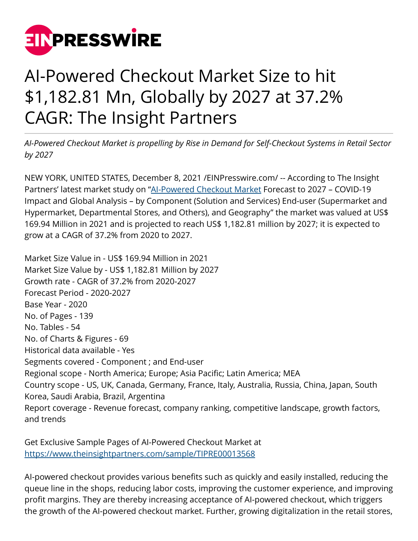

## AI-Powered Checkout Market Size to hit \$1,182.81 Mn, Globally by 2027 at 37.2% CAGR: The Insight Partners

*AI-Powered Checkout Market is propelling by Rise in Demand for Self-Checkout Systems in Retail Sector by 2027*

NEW YORK, UNITED STATES, December 8, 2021 /[EINPresswire.com](http://www.einpresswire.com)/ -- According to The Insight Partners' latest market study on ["AI-Powered Checkout Market](https://www.theinsightpartners.com/reports/ai-powered-checkout-market/) Forecast to 2027 – COVID-19 Impact and Global Analysis – by Component (Solution and Services) End-user (Supermarket and Hypermarket, Departmental Stores, and Others), and Geography" the market was valued at US\$ 169.94 Million in 2021 and is projected to reach US\$ 1,182.81 million by 2027; it is expected to grow at a CAGR of 37.2% from 2020 to 2027.

Market Size Value in - US\$ 169.94 Million in 2021 Market Size Value by - US\$ 1,182.81 Million by 2027 Growth rate - CAGR of 37.2% from 2020-2027 Forecast Period - 2020-2027 Base Year - 2020 No. of Pages - 139 No. Tables - 54 No. of Charts & Figures - 69 Historical data available - Yes Segments covered - Component ; and End-user Regional scope - North America; Europe; Asia Pacific; Latin America; MEA Country scope - US, UK, Canada, Germany, France, Italy, Australia, Russia, China, Japan, South Korea, Saudi Arabia, Brazil, Argentina Report coverage - Revenue forecast, company ranking, competitive landscape, growth factors, and trends

Get Exclusive Sample Pages of AI-Powered Checkout Market at [https://www.theinsightpartners.com/sample/TIPRE00013568](https://www.theinsightpartners.com/sample/TIPRE00013568?utm_source=EINPressWire&utm_medium=10051)

AI-powered checkout provides various benefits such as quickly and easily installed, reducing the queue line in the shops, reducing labor costs, improving the customer experience, and improving profit margins. They are thereby increasing acceptance of AI-powered checkout, which triggers the growth of the AI-powered checkout market. Further, growing digitalization in the retail stores,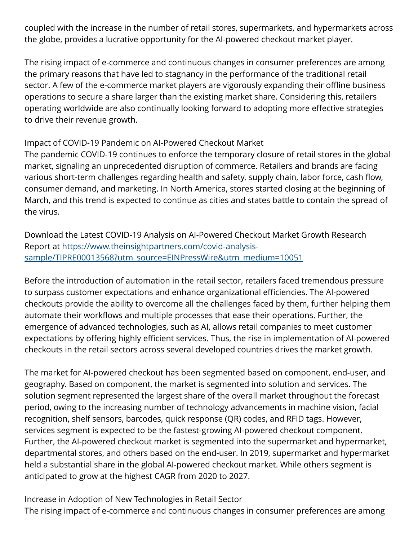coupled with the increase in the number of retail stores, supermarkets, and hypermarkets across the globe, provides a lucrative opportunity for the AI-powered checkout market player.

The rising impact of e-commerce and continuous changes in consumer preferences are among the primary reasons that have led to stagnancy in the performance of the traditional retail sector. A few of the e-commerce market players are vigorously expanding their offline business operations to secure a share larger than the existing market share. Considering this, retailers operating worldwide are also continually looking forward to adopting more effective strategies to drive their revenue growth.

## Impact of COVID-19 Pandemic on AI-Powered Checkout Market

The pandemic COVID-19 continues to enforce the temporary closure of retail stores in the global market, signaling an unprecedented disruption of commerce. Retailers and brands are facing various short-term challenges regarding health and safety, supply chain, labor force, cash flow, consumer demand, and marketing. In North America, stores started closing at the beginning of March, and this trend is expected to continue as cities and states battle to contain the spread of the virus.

Download the Latest COVID-19 Analysis on AI-Powered Checkout Market Growth Research Report at [https://www.theinsightpartners.com/covid-analysis](https://www.theinsightpartners.com/covid-analysis-sample/TIPRE00013568?utm_source=EINPressWire&utm_medium=10051)[sample/TIPRE00013568?utm\\_source=EINPressWire&utm\\_medium=10051](https://www.theinsightpartners.com/covid-analysis-sample/TIPRE00013568?utm_source=EINPressWire&utm_medium=10051)

Before the introduction of automation in the retail sector, retailers faced tremendous pressure to surpass customer expectations and enhance organizational efficiencies. The AI-powered checkouts provide the ability to overcome all the challenges faced by them, further helping them automate their workflows and multiple processes that ease their operations. Further, the emergence of advanced technologies, such as AI, allows retail companies to meet customer expectations by offering highly efficient services. Thus, the rise in implementation of AI-powered checkouts in the retail sectors across several developed countries drives the market growth.

The market for AI-powered checkout has been segmented based on component, end-user, and geography. Based on component, the market is segmented into solution and services. The solution segment represented the largest share of the overall market throughout the forecast period, owing to the increasing number of technology advancements in machine vision, facial recognition, shelf sensors, barcodes, quick response (QR) codes, and RFID tags. However, services segment is expected to be the fastest-growing AI-powered checkout component. Further, the AI-powered checkout market is segmented into the supermarket and hypermarket, departmental stores, and others based on the end-user. In 2019, supermarket and hypermarket held a substantial share in the global AI-powered checkout market. While others segment is anticipated to grow at the highest CAGR from 2020 to 2027.

Increase in Adoption of New Technologies in Retail Sector The rising impact of e-commerce and continuous changes in consumer preferences are among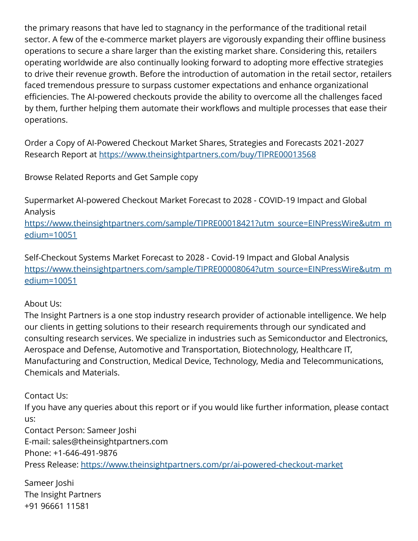the primary reasons that have led to stagnancy in the performance of the traditional retail sector. A few of the e-commerce market players are vigorously expanding their offline business operations to secure a share larger than the existing market share. Considering this, retailers operating worldwide are also continually looking forward to adopting more effective strategies to drive their revenue growth. Before the introduction of automation in the retail sector, retailers faced tremendous pressure to surpass customer expectations and enhance organizational efficiencies. The AI-powered checkouts provide the ability to overcome all the challenges faced by them, further helping them automate their workflows and multiple processes that ease their operations.

Order a Copy of AI-Powered Checkout Market Shares, Strategies and Forecasts 2021-2027 Research Report at [https://www.theinsightpartners.com/buy/TIPRE00013568](https://www.theinsightpartners.com/buy/TIPRE00013568?utm_source=EINPressWire&utm_medium=10051)

Browse Related Reports and Get Sample copy

Supermarket AI-powered Checkout Market Forecast to 2028 - COVID-19 Impact and Global Analysis

[https://www.theinsightpartners.com/sample/TIPRE00018421?utm\\_source=EINPressWire&utm\\_m](https://www.theinsightpartners.com/sample/TIPRE00018421?utm_source=EINPressWire&utm_medium=10051) [edium=10051](https://www.theinsightpartners.com/sample/TIPRE00018421?utm_source=EINPressWire&utm_medium=10051) 

Self-Checkout Systems Market Forecast to 2028 - Covid-19 Impact and Global Analysis [https://www.theinsightpartners.com/sample/TIPRE00008064?utm\\_source=EINPressWire&utm\\_m](https://www.theinsightpartners.com/sample/TIPRE00008064?utm_source=EINPressWire&utm_medium=10051) [edium=10051](https://www.theinsightpartners.com/sample/TIPRE00008064?utm_source=EINPressWire&utm_medium=10051)

## About Us:

The Insight Partners is a one stop industry research provider of actionable intelligence. We help our clients in getting solutions to their research requirements through our syndicated and consulting research services. We specialize in industries such as Semiconductor and Electronics, Aerospace and Defense, Automotive and Transportation, Biotechnology, Healthcare IT, Manufacturing and Construction, Medical Device, Technology, Media and Telecommunications, Chemicals and Materials.

Contact Us:

If you have any queries about this report or if you would like further information, please contact us:

Contact Person: Sameer Joshi E-mail: sales@theinsightpartners.com Phone: +1-646-491-9876 Press Release:<https://www.theinsightpartners.com/pr/ai-powered-checkout-market>

Sameer Joshi The Insight Partners +91 96661 11581